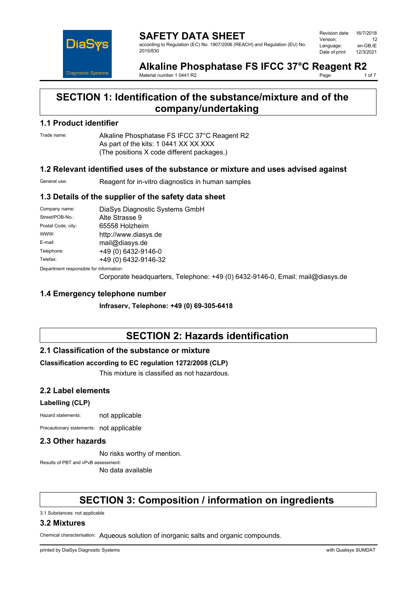

**SAFETY DATA SHEET** according to Regulation (EC) No. 1907/2006 (REACH) and Regulation (EU) No. 2015/830

| Revision date: | 16/7/2018 |
|----------------|-----------|
| Version:       | 12        |
| Language:      | en-GB.IE  |
| Date of print: | 12/3/2021 |

#### **Alkaline Phosphatase FS IFCC 37°C Reagent R2**<br>Material number 10441 R2<br>10f 7 Page:

Material number 1 0441 R2

## **SECTION 1: Identification of the substance/mixture and of the company/undertaking**

## **1.1 Product identifier**

Trade name: Alkaline Phosphatase FS IFCC 37°C Reagent R2 As part of the kits: 1 0441 XX XX XXX (The positions X code different packages.)

## **1.2 Relevant identified uses of the substance or mixture and uses advised against**

General use: Reagent for in-vitro diagnostics in human samples

## **1.3 Details of the supplier of the safety data sheet**

| Company name:                           | DiaSys Diagnostic Systems GmbH |  |
|-----------------------------------------|--------------------------------|--|
| Street/POB-No.:                         | Alte Strasse 9                 |  |
| Postal Code, city:                      | 65558 Holzheim                 |  |
| WWW:                                    | http://www.diasys.de           |  |
| E-mail:                                 | mail@diasys.de                 |  |
| Telephone:                              | +49 (0) 6432-9146-0            |  |
| Telefax:                                | +49 (0) 6432-9146-32           |  |
| Department responsible for information: |                                |  |

Corporate headquarters, Telephone: +49 (0) 6432-9146-0, Email: mail@diasys.de

## **1.4 Emergency telephone number**

**Infraserv, Telephone: +49 (0) 69-305-6418**

## **SECTION 2: Hazards identification**

## **2.1 Classification of the substance or mixture**

## **Classification according to EC regulation 1272/2008 (CLP)**

This mixture is classified as not hazardous.

## **2.2 Label elements**

## **Labelling (CLP)**

Hazard statements: not applicable

Precautionary statements: not applicable

## **2.3 Other hazards**

No risks worthy of mention.

Results of PBT and vPvB assessment:

No data available

# **SECTION 3: Composition / information on ingredients**

3.1 Substances: not applicable

## **3.2 Mixtures**

Chemical characterisation: Aqueous solution of inorganic salts and organic compounds.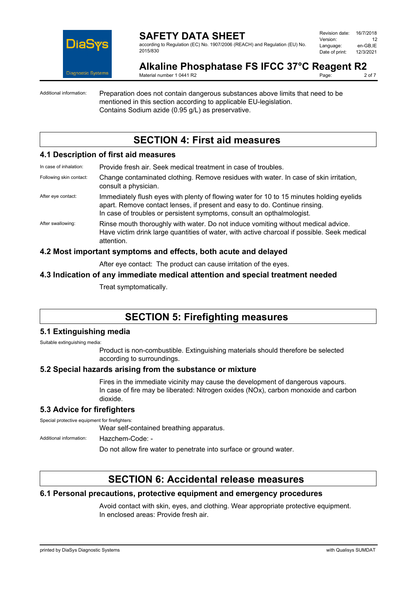

## **SAFETY DATA SHEET** according to Regulation (EC) No. 1907/2006 (REACH) and Regulation (EU) No.

Revision date: 16/7/2018 Version: 12<br>Language: en-GB.IE Language: en-GB,IE<br>Date of print: 12/3/2021 Date of print:

#### **Alkaline Phosphatase FS IFCC 37°C Reagent R2**<br>Material number 1.0441 R2 Page:

Material number 1 0441 R2

2015/830

Additional information: Preparation does not contain dangerous substances above limits that need to be mentioned in this section according to applicable EU-legislation. Contains Sodium azide (0.95 g/L) as preservative.

# **SECTION 4: First aid measures**

## **4.1 Description of first aid measures**

| In case of inhalation:  | Provide fresh air. Seek medical treatment in case of troubles.                                                                                                                                                                                   |
|-------------------------|--------------------------------------------------------------------------------------------------------------------------------------------------------------------------------------------------------------------------------------------------|
| Following skin contact: | Change contaminated clothing. Remove residues with water. In case of skin irritation,<br>consult a physician.                                                                                                                                    |
| After eye contact:      | Immediately flush eyes with plenty of flowing water for 10 to 15 minutes holding eyelids<br>apart. Remove contact lenses, if present and easy to do. Continue rinsing.<br>In case of troubles or persistent symptoms, consult an opthalmologist. |
| After swallowing:       | Rinse mouth thoroughly with water. Do not induce vomiting without medical advice.<br>Have victim drink large quantities of water, with active charcoal if possible. Seek medical<br>attention.                                                   |

## **4.2 Most important symptoms and effects, both acute and delayed**

After eye contact: The product can cause irritation of the eyes.

## **4.3 Indication of any immediate medical attention and special treatment needed**

Treat symptomatically.

# **SECTION 5: Firefighting measures**

## **5.1 Extinguishing media**

Suitable extinguishing media:

Product is non-combustible. Extinguishing materials should therefore be selected according to surroundings.

## **5.2 Special hazards arising from the substance or mixture**

Fires in the immediate vicinity may cause the development of dangerous vapours. In case of fire may be liberated: Nitrogen oxides (NOx), carbon monoxide and carbon dioxide.

## **5.3 Advice for firefighters**

Special protective equipment for firefighters:

Wear self-contained breathing apparatus.

Additional information: Hazchem-Code: -

Do not allow fire water to penetrate into surface or ground water.

# **SECTION 6: Accidental release measures**

## **6.1 Personal precautions, protective equipment and emergency procedures**

Avoid contact with skin, eyes, and clothing. Wear appropriate protective equipment. In enclosed areas: Provide fresh air.

printed by DiaSys Diagnostic Systems with Qualisys SUMDAT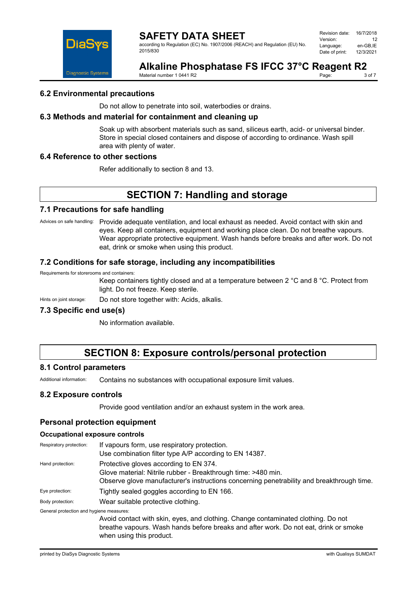

## **SAFETY DATA SHEET**

according to Regulation (EC) No. 1907/2006 (REACH) and Regulation (EU) No. 2015/830

| Revision date: | 16/7/2018 |
|----------------|-----------|
| Version:       | 12        |
| Language:      | en-GB.IE  |
| Date of print: | 12/3/2021 |

#### **Alkaline Phosphatase FS IFCC 37°C Reagent R2**<br>Material number 10441 R2 Page:

Material number 1 0441 R2

## **6.2 Environmental precautions**

Do not allow to penetrate into soil, waterbodies or drains.

#### **6.3 Methods and material for containment and cleaning up**

Soak up with absorbent materials such as sand, siliceus earth, acid- or universal binder. Store in special closed containers and dispose of according to ordinance. Wash spill area with plenty of water.

#### **6.4 Reference to other sections**

Refer additionally to section 8 and 13.

# **SECTION 7: Handling and storage**

## **7.1 Precautions for safe handling**

Advices on safe handling: Provide adequate ventilation, and local exhaust as needed. Avoid contact with skin and eyes. Keep all containers, equipment and working place clean. Do not breathe vapours. Wear appropriate protective equipment. Wash hands before breaks and after work. Do not eat, drink or smoke when using this product.

## **7.2 Conditions for safe storage, including any incompatibilities**

#### Requirements for storerooms and containers:

Keep containers tightly closed and at a temperature between 2 °C and 8 °C. Protect from light. Do not freeze. Keep sterile.

Hints on joint storage: Do not store together with: Acids, alkalis.

## **7.3 Specific end use(s)**

No information available.

# **SECTION 8: Exposure controls/personal protection**

## **8.1 Control parameters**

Additional information: Contains no substances with occupational exposure limit values.

## **8.2 Exposure controls**

Provide good ventilation and/or an exhaust system in the work area.

## **Personal protection equipment**

#### **Occupational exposure controls**

| Respiratory protection:                  | If vapours form, use respiratory protection.<br>Use combination filter type A/P according to EN 14387.                                                                                               |
|------------------------------------------|------------------------------------------------------------------------------------------------------------------------------------------------------------------------------------------------------|
| Hand protection:                         | Protective gloves according to EN 374.<br>Glove material: Nitrile rubber - Breakthrough time: >480 min.<br>Observe glove manufacturer's instructions concerning penetrability and breakthrough time. |
| Eye protection:                          | Tightly sealed goggles according to EN 166.                                                                                                                                                          |
| Body protection:                         | Wear suitable protective clothing.                                                                                                                                                                   |
| General protection and hygiene measures: | Avoid contact with skin eves and clothing. Change contaminated clothing. Do not                                                                                                                      |

l clothing. Change breathe vapours. Wash hands before breaks and after work. Do not eat, drink or smoke when using this product.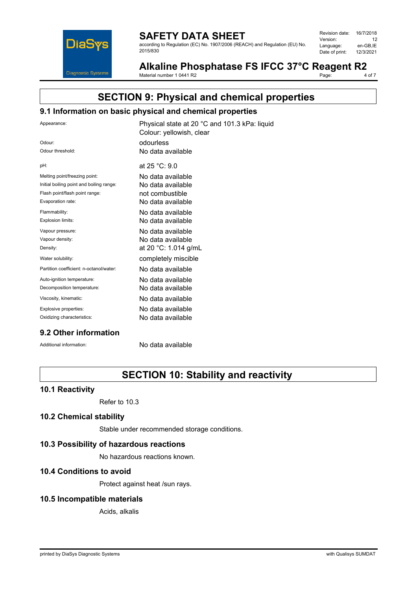

## **SAFETY DATA SHEET**

according to Regulation (EC) No. 1907/2006 (REACH) and Regulation (EU) No. 2015/830

| Revision date: | 16/7/2018 |
|----------------|-----------|
| Version:       | 12        |
| Language:      | en-GB.IE  |
| Date of print: | 12/3/2021 |
|                |           |

Alkaline Phosphatase FS IFCC 37°C Reagent R2<br>Material number 1 0441 R2<br>4 of 7 Page:

Material number 1 0441 R2

# **SECTION 9: Physical and chemical properties**

## **9.1 Information on basic physical and chemical properties**

| Appearance:                              | Physical state at 20 °C and 101.3 kPa: liquid<br>Colour: yellowish, clear |
|------------------------------------------|---------------------------------------------------------------------------|
| Odour:                                   | odourless                                                                 |
| Odour threshold:                         | No data available                                                         |
| pH:                                      | at 25 °C: 9.0                                                             |
| Melting point/freezing point:            | No data available                                                         |
| Initial boiling point and boiling range: | No data available                                                         |
| Flash point/flash point range:           | not combustible                                                           |
| Evaporation rate:                        | No data available                                                         |
| Flammability:                            | No data available                                                         |
| Explosion limits:                        | No data available                                                         |
| Vapour pressure:                         | No data available                                                         |
| Vapour density:                          | No data available                                                         |
| Density:                                 | at 20 °C: 1.014 g/mL                                                      |
| Water solubility:                        | completely miscible                                                       |
| Partition coefficient: n-octanol/water:  | No data available                                                         |
| Auto-ignition temperature:               | No data available                                                         |
| Decomposition temperature:               | No data available                                                         |
| Viscosity, kinematic:                    | No data available                                                         |
| Explosive properties:                    | No data available                                                         |
| Oxidizing characteristics:               | No data available                                                         |
|                                          |                                                                           |

## **9.2 Other information**

Additional information: No data available

# **SECTION 10: Stability and reactivity**

## **10.1 Reactivity**

Refer to 10.3

## **10.2 Chemical stability**

Stable under recommended storage conditions.

## **10.3 Possibility of hazardous reactions**

No hazardous reactions known.

## **10.4 Conditions to avoid**

Protect against heat /sun rays.

## **10.5 Incompatible materials**

Acids, alkalis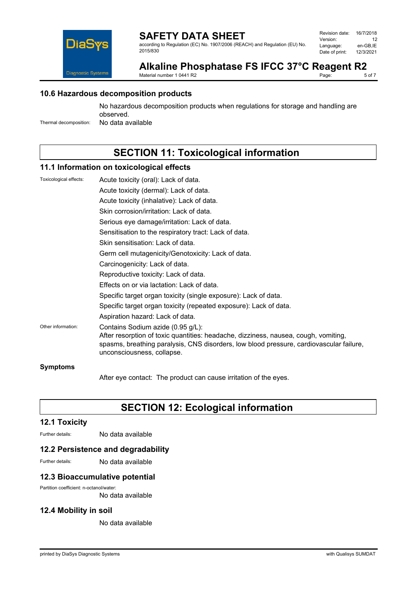

## **SAFETY DATA SHEET**

according to Regulation (EC) No. 1907/2006 (REACH) and Regulation (EU) No. 2015/830

| Revision date: | 16/7/2018 |
|----------------|-----------|
| Version:       | 12        |
| Language:      | en-GB.IE  |
| Date of print: | 12/3/2021 |

#### Alkaline Phosphatase FS IFCC 37°C Reagent R2<br>Material number 1 0441 R2<br>5 of 7 Page:

Material number 1 0441 R2

## **10.6 Hazardous decomposition products**

No hazardous decomposition products when regulations for storage and handling are observed.

Thermal decomposition: No data available

# **SECTION 11: Toxicological information**

## **11.1 Information on toxicological effects**

| Toxicological effects: | Acute toxicity (oral): Lack of data.                                                                                                                                                                                                              |
|------------------------|---------------------------------------------------------------------------------------------------------------------------------------------------------------------------------------------------------------------------------------------------|
|                        | Acute toxicity (dermal): Lack of data.                                                                                                                                                                                                            |
|                        | Acute toxicity (inhalative): Lack of data.                                                                                                                                                                                                        |
|                        | Skin corrosion/irritation: Lack of data.                                                                                                                                                                                                          |
|                        | Serious eye damage/irritation: Lack of data.                                                                                                                                                                                                      |
|                        | Sensitisation to the respiratory tract: Lack of data.                                                                                                                                                                                             |
|                        | Skin sensitisation: Lack of data.                                                                                                                                                                                                                 |
|                        | Germ cell mutagenicity/Genotoxicity: Lack of data.                                                                                                                                                                                                |
|                        | Carcinogenicity: Lack of data.                                                                                                                                                                                                                    |
|                        | Reproductive toxicity: Lack of data.                                                                                                                                                                                                              |
|                        | Effects on or via lactation: Lack of data.                                                                                                                                                                                                        |
|                        | Specific target organ toxicity (single exposure): Lack of data.                                                                                                                                                                                   |
|                        | Specific target organ toxicity (repeated exposure): Lack of data.                                                                                                                                                                                 |
|                        | Aspiration hazard: Lack of data.                                                                                                                                                                                                                  |
| Other information:     | Contains Sodium azide (0.95 g/L):<br>After resorption of toxic quantities: headache, dizziness, nausea, cough, vomiting,<br>spasms, breathing paralysis, CNS disorders, low blood pressure, cardiovascular failure,<br>unconsciousness, collapse. |
| <b>Symptoms</b>        |                                                                                                                                                                                                                                                   |

After eye contact: The product can cause irritation of the eyes.

# **SECTION 12: Ecological information**

## **12.1 Toxicity**

Further details: No data available

## **12.2 Persistence and degradability**

Further details: No data available

## **12.3 Bioaccumulative potential**

Partition coefficient: n-octanol/water:

No data available

## **12.4 Mobility in soil**

No data available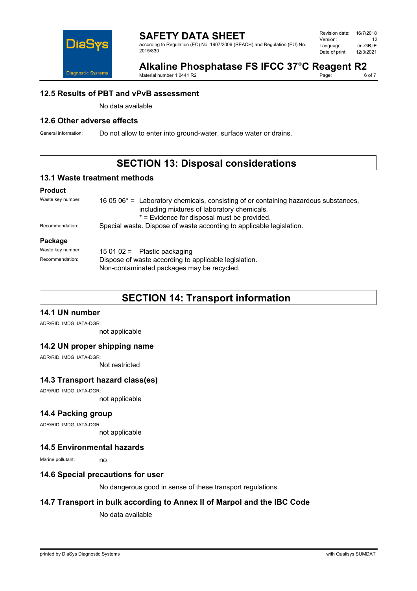

#### **SAFETY DATA SHEET** according to Regulation (EC) No. 1907/2006 (REACH) and Regulation (EU) No. 2015/830

| Revision date: | 16/7/2018 |
|----------------|-----------|
| Version:       | 12        |
| Language:      | en-GB.IE  |
| Date of print: | 12/3/2021 |

## Alkaline Phosphatase FS IFCC 37°C Reagent R2<br>Material number 1 0441 R2<br>6 of 7 Page:

Material number 1 0441 R2

## **12.5 Results of PBT and vPvB assessment**

No data available

## **12.6 Other adverse effects**

General information: Do not allow to enter into ground-water, surface water or drains.

# **SECTION 13: Disposal considerations**

## **13.1 Waste treatment methods**

#### **Product**

| Waste key number: | 16 05 $06*$ = Laboratory chemicals, consisting of or containing hazardous substances,<br>including mixtures of laboratory chemicals.<br>* = Evidence for disposal must be provided. |  |
|-------------------|-------------------------------------------------------------------------------------------------------------------------------------------------------------------------------------|--|
| Recommendation:   | Special waste. Dispose of waste according to applicable legislation.                                                                                                                |  |
| Package           |                                                                                                                                                                                     |  |
| Waste key number: | 15 01 02 = Plastic packaging                                                                                                                                                        |  |
| Recommendation:   | Dispose of waste according to applicable legislation.<br>Non-contaminated packages may be recycled.                                                                                 |  |

# **SECTION 14: Transport information**

## **14.1 UN number**

ADR/RID, IMDG, IATA-DGR:

not applicable

## **14.2 UN proper shipping name**

ADR/RID, IMDG, IATA-DGR:

Not restricted

## **14.3 Transport hazard class(es)**

ADR/RID, IMDG, IATA-DGR:

not applicable

## **14.4 Packing group**

ADR/RID, IMDG, IATA-DGR:

not applicable

## **14.5 Environmental hazards**

Marine pollutant: no

## **14.6 Special precautions for user**

No dangerous good in sense of these transport regulations.

## **14.7 Transport in bulk according to Annex II of Marpol and the IBC Code**

No data available